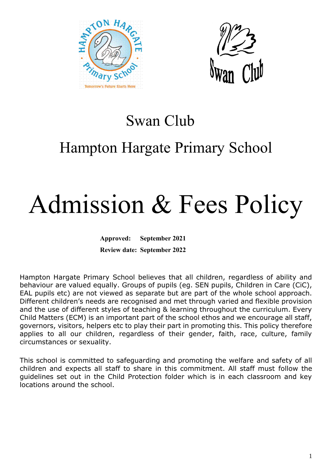



### Swan Club

## Hampton Hargate Primary School

# Admission & Fees Policy

**Approved: September 2021 Review date: September 2022**

Hampton Hargate Primary School believes that all children, regardless of ability and behaviour are valued equally. Groups of pupils (eg. SEN pupils, Children in Care (CiC), EAL pupils etc) are not viewed as separate but are part of the whole school approach. Different children's needs are recognised and met through varied and flexible provision and the use of different styles of teaching & learning throughout the curriculum. Every Child Matters (ECM) is an important part of the school ethos and we encourage all staff, governors, visitors, helpers etc to play their part in promoting this. This policy therefore applies to all our children, regardless of their gender, faith, race, culture, family circumstances or sexuality.

This school is committed to safeguarding and promoting the welfare and safety of all children and expects all staff to share in this commitment. All staff must follow the guidelines set out in the Child Protection folder which is in each classroom and key locations around the school.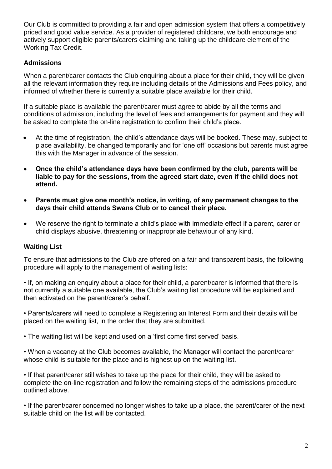Our Club is committed to providing a fair and open admission system that offers a competitively priced and good value service. As a provider of registered childcare, we both encourage and actively support eligible parents/carers claiming and taking up the childcare element of the Working Tax Credit.

#### **Admissions**

When a parent/carer contacts the Club enquiring about a place for their child, they will be given all the relevant information they require including details of the Admissions and Fees policy, and informed of whether there is currently a suitable place available for their child.

If a suitable place is available the parent/carer must agree to abide by all the terms and conditions of admission, including the level of fees and arrangements for payment and they will be asked to complete the on-line registration to confirm their child's place.

- At the time of registration, the child's attendance days will be booked. These may, subject to place availability, be changed temporarily and for 'one off' occasions but parents must agree this with the Manager in advance of the session.
- **Once the child's attendance days have been confirmed by the club, parents will be liable to pay for the sessions, from the agreed start date, even if the child does not attend.**
- **Parents must give one month's notice, in writing, of any permanent changes to the days their child attends Swans Club or to cancel their place.**
- We reserve the right to terminate a child's place with immediate effect if a parent, carer or child displays abusive, threatening or inappropriate behaviour of any kind.

#### **Waiting List**

To ensure that admissions to the Club are offered on a fair and transparent basis, the following procedure will apply to the management of waiting lists:

• If, on making an enquiry about a place for their child, a parent/carer is informed that there is not currently a suitable one available, the Club's waiting list procedure will be explained and then activated on the parent/carer's behalf.

• Parents/carers will need to complete a Registering an Interest Form and their details will be placed on the waiting list, in the order that they are submitted.

• The waiting list will be kept and used on a 'first come first served' basis.

• When a vacancy at the Club becomes available, the Manager will contact the parent/carer whose child is suitable for the place and is highest up on the waiting list.

• If that parent/carer still wishes to take up the place for their child, they will be asked to complete the on-line registration and follow the remaining steps of the admissions procedure outlined above.

• If the parent/carer concerned no longer wishes to take up a place, the parent/carer of the next suitable child on the list will be contacted.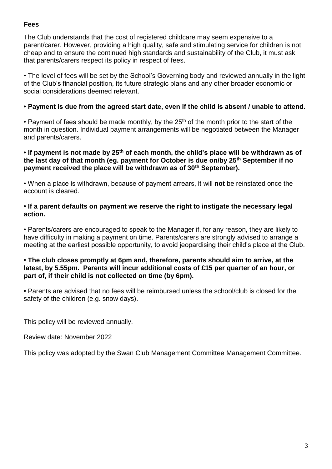#### **Fees**

The Club understands that the cost of registered childcare may seem expensive to a parent/carer. However, providing a high quality, safe and stimulating service for children is not cheap and to ensure the continued high standards and sustainability of the Club, it must ask that parents/carers respect its policy in respect of fees.

• The level of fees will be set by the School's Governing body and reviewed annually in the light of the Club's financial position, its future strategic plans and any other broader economic or social considerations deemed relevant.

#### **• Payment is due from the agreed start date, even if the child is absent / unable to attend.**

• Payment of fees should be made monthly, by the  $25<sup>th</sup>$  of the month prior to the start of the month in question. Individual payment arrangements will be negotiated between the Manager and parents/carers.

#### **• If payment is not made by 25th of each month, the child's place will be withdrawn as of the last day of that month (eg. payment for October is due on/by 25th September if no payment received the place will be withdrawn as of 30th September).**

• When a place is withdrawn, because of payment arrears, it will **not** be reinstated once the account is cleared.

#### **• If a parent defaults on payment we reserve the right to instigate the necessary legal action.**

• Parents/carers are encouraged to speak to the Manager if, for any reason, they are likely to have difficulty in making a payment on time. Parents/carers are strongly advised to arrange a meeting at the earliest possible opportunity, to avoid jeopardising their child's place at the Club.

#### **• The club closes promptly at 6pm and, therefore, parents should aim to arrive, at the latest, by 5.55pm. Parents will incur additional costs of £15 per quarter of an hour, or part of, if their child is not collected on time (by 6pm).**

**•** Parents are advised that no fees will be reimbursed unless the school/club is closed for the safety of the children (e.g. snow days).

This policy will be reviewed annually.

Review date: November 2022

This policy was adopted by the Swan Club Management Committee Management Committee.